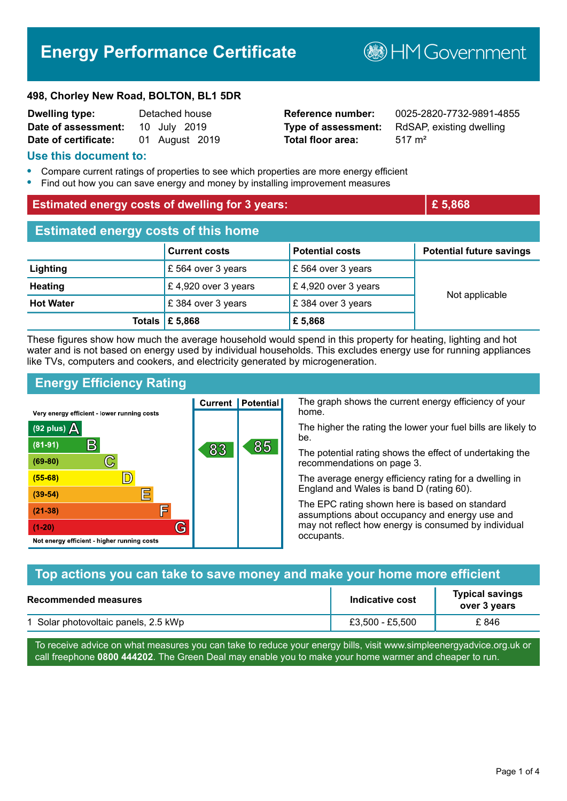# **Energy Performance Certificate**

**B**HMGovernment

#### **498, Chorley New Road, BOLTON, BL1 5DR**

| <b>Dwelling type:</b> | Detached house |
|-----------------------|----------------|
| Date of assessment:   | 10 July 2019   |
| Date of certificate:  | 01 August 2019 |

# **Total floor area:** 517 m<sup>2</sup>

**Reference number:** 0025-2820-7732-9891-4855 **Type of assessment:** RdSAP, existing dwelling

#### **Use this document to:**

- **•** Compare current ratings of properties to see which properties are more energy efficient
- **•** Find out how you can save energy and money by installing improvement measures

| <b>Estimated energy costs of dwelling for 3 years:</b> |                           |                         | £ 5,868                         |  |
|--------------------------------------------------------|---------------------------|-------------------------|---------------------------------|--|
| <b>Estimated energy costs of this home</b>             |                           |                         |                                 |  |
|                                                        | <b>Current costs</b>      | <b>Potential costs</b>  | <b>Potential future savings</b> |  |
| Lighting                                               | £ 564 over 3 years        | £ 564 over 3 years      |                                 |  |
| <b>Heating</b>                                         | £4,920 over 3 years       | £ 4,920 over 3 years    | Not applicable                  |  |
| <b>Hot Water</b>                                       | £ 384 over 3 years        | $\,$ £ 384 over 3 years |                                 |  |
|                                                        | Totals $\mathsf{E}$ 5,868 | £ 5,868                 |                                 |  |

These figures show how much the average household would spend in this property for heating, lighting and hot water and is not based on energy used by individual households. This excludes energy use for running appliances like TVs, computers and cookers, and electricity generated by microgeneration.

# **Energy Efficiency Rating**

The graph shows the current energy efficiency of your **Current | Potential** home. Very energy efficient - lower running costs The higher the rating the lower your fuel bills are likely to (92 plus)  $\Delta$ be.  $\mathsf{B}$  $(81 - 91)$ 85 83 The potential rating shows the effect of undertaking the  $(69 - 80)$  $\mathbb{C}$ recommendations on page 3.  $\mathbb{D}$  $(55 - 68)$ The average energy efficiency rating for a dwelling in England and Wales is band D (rating 60). 扈  $(39 - 54)$ The EPC rating shown here is based on standard F  $(21-38)$ assumptions about occupancy and energy use and G may not reflect how energy is consumed by individual  $(1-20)$ occupants. Not energy efficient - higher running costs

| Top actions you can take to save money and make your home more efficient |                 |                                        |  |
|--------------------------------------------------------------------------|-----------------|----------------------------------------|--|
| <b>Recommended measures</b>                                              | Indicative cost | <b>Typical savings</b><br>over 3 years |  |
| 1 Solar photovoltaic panels, 2.5 kWp                                     | £3,500 - £5,500 | £846                                   |  |

To receive advice on what measures you can take to reduce your energy bills, visit www.simpleenergyadvice.org.uk or call freephone **0800 444202**. The Green Deal may enable you to make your home warmer and cheaper to run.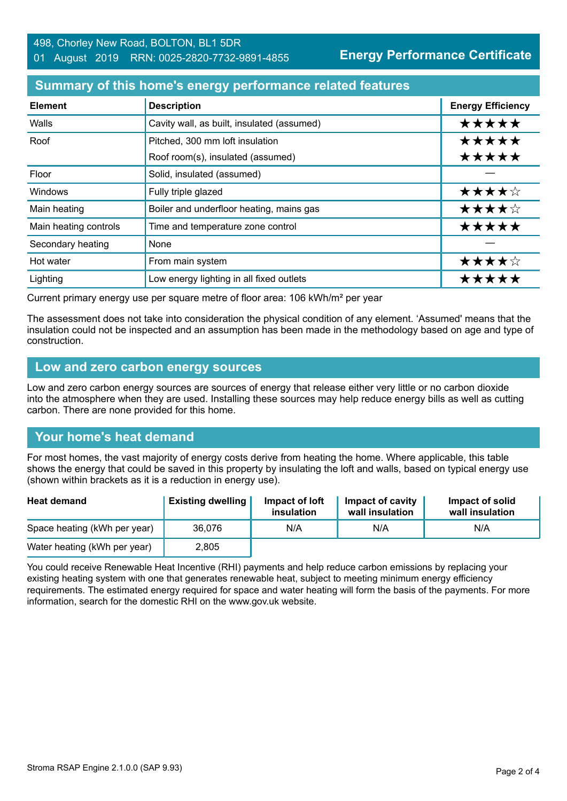### **Summary of this home's energy performance related features**

| <b>Element</b>        | <b>Description</b>                         | <b>Energy Efficiency</b> |
|-----------------------|--------------------------------------------|--------------------------|
| Walls                 | Cavity wall, as built, insulated (assumed) | *****                    |
| Roof                  | Pitched, 300 mm loft insulation            | *****                    |
|                       | Roof room(s), insulated (assumed)          | *****                    |
| Floor                 | Solid, insulated (assumed)                 |                          |
| <b>Windows</b>        | Fully triple glazed                        | ★★★★☆                    |
| Main heating          | Boiler and underfloor heating, mains gas   | ★★★★☆                    |
| Main heating controls | Time and temperature zone control          | *****                    |
| Secondary heating     | None                                       |                          |
| Hot water             | From main system                           | ★★★★☆                    |
| Lighting              | Low energy lighting in all fixed outlets   | *****                    |

Current primary energy use per square metre of floor area: 106 kWh/m² per year

The assessment does not take into consideration the physical condition of any element. 'Assumed' means that the insulation could not be inspected and an assumption has been made in the methodology based on age and type of construction.

#### **Low and zero carbon energy sources**

Low and zero carbon energy sources are sources of energy that release either very little or no carbon dioxide into the atmosphere when they are used. Installing these sources may help reduce energy bills as well as cutting carbon. There are none provided for this home.

# **Your home's heat demand**

For most homes, the vast majority of energy costs derive from heating the home. Where applicable, this table shows the energy that could be saved in this property by insulating the loft and walls, based on typical energy use (shown within brackets as it is a reduction in energy use).

| <b>Heat demand</b>           | <b>Existing dwelling</b> | Impact of loft<br>insulation | Impact of cavity<br>wall insulation | Impact of solid<br>wall insulation |
|------------------------------|--------------------------|------------------------------|-------------------------------------|------------------------------------|
| Space heating (kWh per year) | 36,076                   | N/A                          | N/A                                 | N/A                                |
| Water heating (kWh per year) | 2,805                    |                              |                                     |                                    |

You could receive Renewable Heat Incentive (RHI) payments and help reduce carbon emissions by replacing your existing heating system with one that generates renewable heat, subject to meeting minimum energy efficiency requirements. The estimated energy required for space and water heating will form the basis of the payments. For more information, search for the domestic RHI on the www.gov.uk website.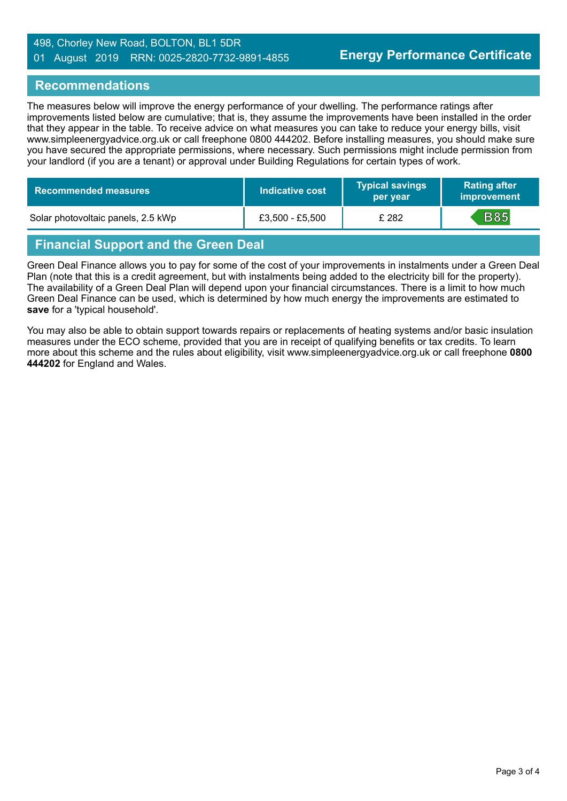#### 498, Chorley New Road, BOLTON, BL1 5DR 01 August 2019 RRN: 0025-2820-7732-9891-4855

#### **Recommendations**

The measures below will improve the energy performance of your dwelling. The performance ratings after improvements listed below are cumulative; that is, they assume the improvements have been installed in the order that they appear in the table. To receive advice on what measures you can take to reduce your energy bills, visit www.simpleenergyadvice.org.uk or call freephone 0800 444202. Before installing measures, you should make sure you have secured the appropriate permissions, where necessary. Such permissions might include permission from your landlord (if you are a tenant) or approval under Building Regulations for certain types of work.

| Recommended measures \             | Indicative cost | <b>Typical savings</b><br>per year | <b>Rating after</b><br><b>improvement</b> |
|------------------------------------|-----------------|------------------------------------|-------------------------------------------|
| Solar photovoltaic panels, 2.5 kWp | £3,500 - £5,500 | £ 282                              | <b>B85</b>                                |

# **Financial Support and the Green Deal**

Green Deal Finance allows you to pay for some of the cost of your improvements in instalments under a Green Deal Plan (note that this is a credit agreement, but with instalments being added to the electricity bill for the property). The availability of a Green Deal Plan will depend upon your financial circumstances. There is a limit to how much Green Deal Finance can be used, which is determined by how much energy the improvements are estimated to **save** for a 'typical household'.

You may also be able to obtain support towards repairs or replacements of heating systems and/or basic insulation measures under the ECO scheme, provided that you are in receipt of qualifying benefits or tax credits. To learn more about this scheme and the rules about eligibility, visit www.simpleenergyadvice.org.uk or call freephone **0800 444202** for England and Wales.